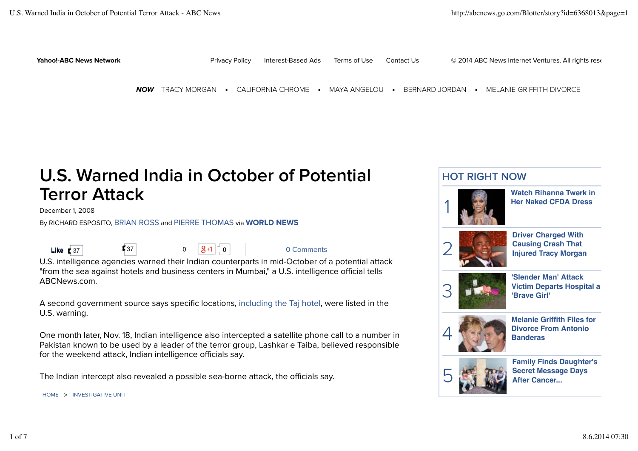**Yahoo!-ABC News Network Privacy Policy** Interest-Based Ads Terms of Use Contact Us © 2014 ABC News Internet Ventures. All rights reserved.

**NOW** TRACY MORGAN **•** CALIFORNIA CHROME **•** MAYA ANGELOU **•** BERNARD JORDAN **•** MELANIE GRIFFITH DIVORCE

# **U.S. Warned India in October of Potential Terror Attack**

December 1, 2008

By RICHARD ESPOSITO, BRIAN ROSS and PIERRE THOMAS via **WORLD NEWS**





 $0 \left[ \n\begin{array}{ccc} 0 & 0 \\ 0 & 0 \end{array} \right]$   $0$  Comments

U.S. intelligence agencies warned their Indian counterparts in mid-October of a potential attack "from the sea against hotels and business centers in Mumbai," a U.S. intelligence official tells ABCNews.com.

A second government source says specific locations, including the Taj hotel, were listed in the U.S. warning.

One month later, Nov. 18, Indian intelligence also intercepted a satellite phone call to a number in Pakistan known to be used by a leader of the terror group, Lashkar e Taiba, believed responsible for the weekend attack, Indian intelligence officials say.

The Indian intercept also revealed a possible sea-borne attack, the officials say.

HOME > INVESTIGATIVE UNIT

## **HOT RIGHT NOW**



**Watch Rihanna Twerk in Her Naked CFDA Dress**



**Driver Charged With Causing Crash That Injured Tracy Morgan**



**'Slender Man' Attack Victim Departs Hospital a 'Brave Girl'**



**Melanie Griffith Files for Divorce From Antonio Banderas**



**Family Finds Daughter's Secret Message Days After Cancer...**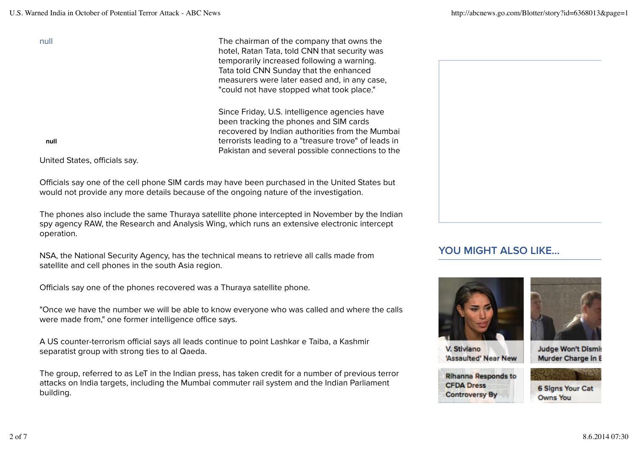#### null

The chairman of the company that owns the hotel, Ratan Tata, told CNN that security was temporarily increased following a warning. Tata told CNN Sunday that the enhanced measurers were later eased and, in any case, "could not have stopped what took place."

Since Friday, U.S. intelligence agencies have been tracking the phones and SIM cards recovered by Indian authorities from the Mumbai terrorists leading to a "treasure trove" of leads in Pakistan and several possible connections to the

**null**

United States, officials say.

Officials say one of the cell phone SIM cards may have been purchased in the United States but would not provide any more details because of the ongoing nature of the investigation.

The phones also include the same Thuraya satellite phone intercepted in November by the Indian spy agency RAW, the Research and Analysis Wing, which runs an extensive electronic intercept operation.

NSA, the National Security Agency, has the technical means to retrieve all calls made from satellite and cell phones in the south Asia region.

Officials say one of the phones recovered was a Thuraya satellite phone.

"Once we have the number we will be able to know everyone who was called and where the calls were made from," one former intelligence office says.

A US counter-terrorism official says all leads continue to point Lashkar e Taiba, a Kashmir separatist group with strong ties to al Qaeda.

The group, referred to as LeT in the Indian press, has taken credit for a number of previous terror attacks on India targets, including the Mumbai commuter rail system and the Indian Parliament building.

### **YOU MIGHT ALSO LIKE...**